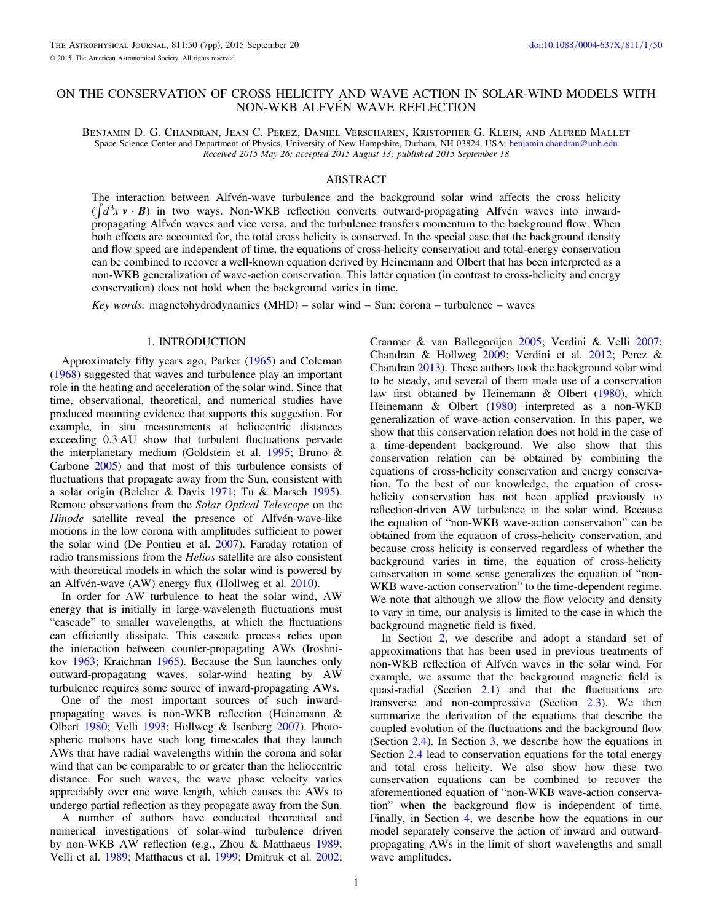# ON THE CONSERVATION OF CROSS HELICITY AND WAVE ACTION IN SOLAR-WIND MODELS WITH NON-WKB ALFVÉN WAVE REFLECTION

Benjamin D. G. Chandran, Jean C. Perez, Daniel Verscharen, Kristopher G. Klein, and Alfred Mallet Space Science Center and Department of Physics, University of New Hampshire, Durham, NH 03824, USA; [benjamin.chandran@unh.edu](mailto:benjamin.chandran@unh.edu) Received 2015 May 26; accepted 2015 August 13; published 2015 September 18

# ABSTRACT

The interaction between Alfvén-wave turbulence and the background solar wind affects the cross helicity  $(\int d^3x \mathbf{v} \cdot \mathbf{B})$  in two ways. Non-WKB reflection converts outward-propagating Alfvén waves into inwardpropagating Alfvén waves and vice versa, and the turbulence transfers momentum to the background flow. When both effects are accounted for, the total cross helicity is conserved. In the special case that the background density and flow speed are independent of time, the equations of cross-helicity conservation and total-energy conservation can be combined to recover a well-known equation derived by Heinemann and Olbert that has been interpreted as a non-WKB generalization of wave-action conservation. This latter equation (in contrast to cross-helicity and energy conservation) does not hold when the background varies in time.

Key words: magnetohydrodynamics (MHD) – solar wind – Sun: corona – turbulence – waves

# 1. INTRODUCTION

Approximately fifty years ago, Parker ([1965](#page-6-0)) and Coleman ([1968](#page-6-0)) suggested that waves and turbulence play an important role in the heating and acceleration of the solar wind. Since that time, observational, theoretical, and numerical studies have produced mounting evidence that supports this suggestion. For example, in situ measurements at heliocentric distances exceeding 0.3 AU show that turbulent fluctuations pervade the interplanetary medium (Goldstein et al. [1995](#page-6-0); Bruno & Carbone [2005](#page-6-0)) and that most of this turbulence consists of fluctuations that propagate away from the Sun, consistent with a solar origin (Belcher & Davis [1971](#page-6-0); Tu & Marsch [1995](#page-6-0)). Remote observations from the Solar Optical Telescope on the Hinode satellite reveal the presence of Alfvén-wave-like motions in the low corona with amplitudes sufficient to power the solar wind (De Pontieu et al. [2007](#page-6-0)). Faraday rotation of radio transmissions from the Helios satellite are also consistent with theoretical models in which the solar wind is powered by an Alfvén-wave (AW) energy flux (Hollweg et al. [2010](#page-6-0)).

In order for AW turbulence to heat the solar wind, AW energy that is initially in large-wavelength fluctuations must "cascade" to smaller wavelengths, at which the fluctuations can efficiently dissipate. This cascade process relies upon the interaction between counter-propagating AWs (Iroshnikov [1963](#page-6-0); Kraichnan [1965](#page-6-0)). Because the Sun launches only outward-propagating waves, solar-wind heating by AW turbulence requires some source of inward-propagating AWs.

One of the most important sources of such inwardpropagating waves is non-WKB reflection (Heinemann & Olbert [1980](#page-6-0); Velli [1993;](#page-6-0) Hollweg & Isenberg [2007](#page-6-0)). Photospheric motions have such long timescales that they launch AWs that have radial wavelengths within the corona and solar wind that can be comparable to or greater than the heliocentric distance. For such waves, the wave phase velocity varies appreciably over one wave length, which causes the AWs to undergo partial reflection as they propagate away from the Sun.

A number of authors have conducted theoretical and numerical investigations of solar-wind turbulence driven by non-WKB AW reflection (e.g., Zhou & Matthaeus [1989](#page-6-0); Velli et al. [1989;](#page-6-0) Matthaeus et al. [1999](#page-6-0); Dmitruk et al. [2002](#page-6-0);

Cranmer & van Ballegooijen [2005;](#page-6-0) Verdini & Velli [2007](#page-6-0); Chandran & Hollweg [2009;](#page-6-0) Verdini et al. [2012;](#page-6-0) Perez & Chandran [2013](#page-6-0)). These authors took the background solar wind to be steady, and several of them made use of a conservation law first obtained by Heinemann & Olbert ([1980](#page-6-0)), which Heinemann & Olbert ([1980](#page-6-0)) interpreted as a non-WKB generalization of wave-action conservation. In this paper, we show that this conservation relation does not hold in the case of a time-dependent background. We also show that this conservation relation can be obtained by combining the equations of cross-helicity conservation and energy conservation. To the best of our knowledge, the equation of crosshelicity conservation has not been applied previously to reflection-driven AW turbulence in the solar wind. Because the equation of "non-WKB wave-action conservation" can be obtained from the equation of cross-helicity conservation, and because cross helicity is conserved regardless of whether the background varies in time, the equation of cross-helicity conservation in some sense generalizes the equation of "non-WKB wave-action conservation" to the time-dependent regime. We note that although we allow the flow velocity and density to vary in time, our analysis is limited to the case in which the background magnetic field is fixed.

In Section [2](#page-1-0), we describe and adopt a standard set of approximations that has been used in previous treatments of non-WKB reflection of Alfvén waves in the solar wind. For example, we assume that the background magnetic field is quasi-radial (Section [2.1](#page-1-0)) and that the fluctuations are transverse and non-compressive (Section [2.3](#page-1-0)). We then summarize the derivation of the equations that describe the coupled evolution of the fluctuations and the background flow (Section [2.4](#page-2-0)). In Section [3,](#page-2-0) we describe how the equations in Section [2.4](#page-2-0) lead to conservation equations for the total energy and total cross helicity. We also show how these two conservation equations can be combined to recover the aforementioned equation of "non-WKB wave-action conservation" when the background flow is independent of time. Finally, in Section [4,](#page-3-0) we describe how the equations in our model separately conserve the action of inward and outwardpropagating AWs in the limit of short wavelengths and small wave amplitudes.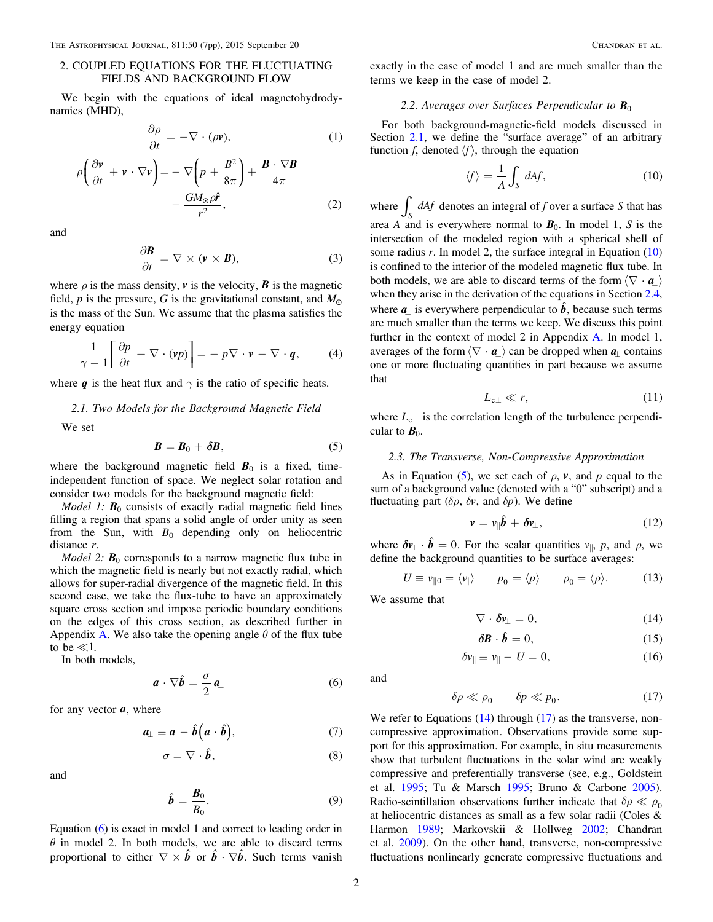### <span id="page-1-0"></span>2. COUPLED EQUATIONS FOR THE FLUCTUATING FIELDS AND BACKGROUND FLOW

We begin with the equations of ideal magnetohydrodynamics (MHD),

$$
\frac{\partial \rho}{\partial t} = -\nabla \cdot (\rho \mathbf{v}),\tag{1}
$$

$$
\rho \left( \frac{\partial v}{\partial t} + v \cdot \nabla v \right) = -\nabla \left( p + \frac{B^2}{8\pi} \right) + \frac{B \cdot \nabla B}{4\pi} - \frac{GM_{\odot} \rho \hat{r}}{r^2},
$$
\n(2)

and

$$
\frac{\partial \mathbf{B}}{\partial t} = \nabla \times (\mathbf{v} \times \mathbf{B}), \tag{3}
$$

where  $\rho$  is the mass density,  $\bf{v}$  is the velocity,  $\bf{B}$  is the magnetic field, p is the pressure, G is the gravitational constant, and  $M_{\odot}$ is the mass of the Sun. We assume that the plasma satisfies the energy equation

$$
\frac{1}{\gamma - 1} \left[ \frac{\partial p}{\partial t} + \nabla \cdot (\mathbf{v} p) \right] = - p \nabla \cdot \mathbf{v} - \nabla \cdot \mathbf{q}, \quad (4)
$$

where *q* is the heat flux and  $\gamma$  is the ratio of specific heats.

#### 2.1. Two Models for the Background Magnetic Field

We set

$$
B=B_0+\delta B,\qquad \qquad (5)
$$

where the background magnetic field  $B_0$  is a fixed, timeindependent function of space. We neglect solar rotation and consider two models for the background magnetic field:

*Model 1:*  $B_0$  consists of exactly radial magnetic field lines filling a region that spans a solid angle of order unity as seen from the Sun, with  $B_0$  depending only on heliocentric distance r.

*Model 2:*  $B_0$  corresponds to a narrow magnetic flux tube in which the magnetic field is nearly but not exactly radial, which allows for super-radial divergence of the magnetic field. In this second case, we take the flux-tube to have an approximately square cross section and impose periodic boundary conditions on the edges of this cross section, as described further in [A](#page-4-0)ppendix A. We also take the opening angle  $\theta$  of the flux tube to be  $\ll 1$ .

In both models,

$$
\boldsymbol{a} \cdot \nabla \hat{\boldsymbol{b}} = \frac{\sigma}{2} \, \boldsymbol{a}_{\perp} \tag{6}
$$

for any vector  $a$ , where

$$
a_{\perp} \equiv a - \hat{b} \left( a \cdot \hat{b} \right), \tag{7}
$$

$$
\sigma = \nabla \cdot \hat{\boldsymbol{b}},\tag{8}
$$

and

$$
\hat{\boldsymbol{b}} = \frac{\boldsymbol{B}_0}{B_0}.\tag{9}
$$

Equation (6) is exact in model 1 and correct to leading order in  $\theta$  in model 2. In both models, we are able to discard terms proportional to either  $\nabla \times \hat{b}$  or  $\hat{b} \cdot \nabla \hat{b}$ . Such terms vanish exactly in the case of model 1 and are much smaller than the terms we keep in the case of model 2.

#### 2.2. Averages over Surfaces Perpendicular to  $B_0$

For both background-magnetic-field models discussed in Section 2.1, we define the "surface average" of an arbitrary function f, denoted  $\langle f \rangle$ , through the equation

$$
\langle f \rangle = \frac{1}{A} \int_{S} dA f, \qquad (10)
$$

where  $\int_{S} dA f$  denotes an integral of f over a surface S that has area A and is everywhere normal to  $B_0$ . In model 1, S is the intersection of the modeled region with a spherical shell of some radius  $r$ . In model 2, the surface integral in Equation  $(10)$ is confined to the interior of the modeled magnetic flux tube. In both models, we are able to discard terms of the form  $\langle \nabla \cdot \mathbf{a}_1 \rangle$ when they arise in the derivation of the equations in Section [2.4](#page-2-0), where  $a_{\perp}$  is everywhere perpendicular to  $\hat{b}$ , because such terms are much smaller than the terms we keep. We discuss this point further in the context of model 2 in Appendix [A.](#page-4-0) In model 1, averages of the form  $\langle \nabla \cdot \mathbf{a}_{\perp} \rangle$  can be dropped when  $\mathbf{a}_{\perp}$  contains one or more fluctuating quantities in part because we assume that

$$
L_{\rm cl} \ll r,\tag{11}
$$

where  $L_{c\perp}$  is the correlation length of the turbulence perpendicular to  $B_0$ .

#### 2.3. The Transverse, Non-Compressive Approximation

As in Equation (5), we set each of  $\rho$ ,  $\nu$ , and  $\nu$  equal to the sum of a background value (denoted with a "0" subscript) and a fluctuating part  $(\delta \rho, \delta \mathbf{v})$ , and  $\delta p$ ). We define

$$
\mathbf{v} = v_{\parallel} \hat{\mathbf{b}} + \delta v_{\perp}, \tag{12}
$$

where  $\delta v_{\perp} \cdot \hat{b} = 0$ . For the scalar quantities  $v_{\parallel}$ , p, and  $\rho$ , we define the background quantities to be surface averages:

$$
U \equiv v_{\parallel 0} = \langle v_{\parallel} \rangle \qquad p_0 = \langle p \rangle \qquad \rho_0 = \langle \rho \rangle. \tag{13}
$$

We assume that

$$
\nabla \cdot \delta \mathbf{v}_{\perp} = 0, \tag{14}
$$

$$
\delta \mathbf{B} \cdot \hat{\mathbf{b}} = 0,\tag{15}
$$

$$
\delta v_{\parallel} \equiv v_{\parallel} - U = 0, \tag{16}
$$

and

$$
\delta \rho \ll \rho_0 \qquad \delta p \ll p_0. \tag{17}
$$

We refer to Equations  $(14)$  through  $(17)$  as the transverse, noncompressive approximation. Observations provide some support for this approximation. For example, in situ measurements show that turbulent fluctuations in the solar wind are weakly compressive and preferentially transverse (see, e.g., Goldstein et al. [1995](#page-6-0); Tu & Marsch [1995;](#page-6-0) Bruno & Carbone [2005](#page-6-0)). Radio-scintillation observations further indicate that  $\delta \rho \ll \rho_0$ at heliocentric distances as small as a few solar radii (Coles & Harmon [1989](#page-6-0); Markovskii & Hollweg [2002;](#page-6-0) Chandran et al. [2009](#page-6-0)). On the other hand, transverse, non-compressive fluctuations nonlinearly generate compressive fluctuations and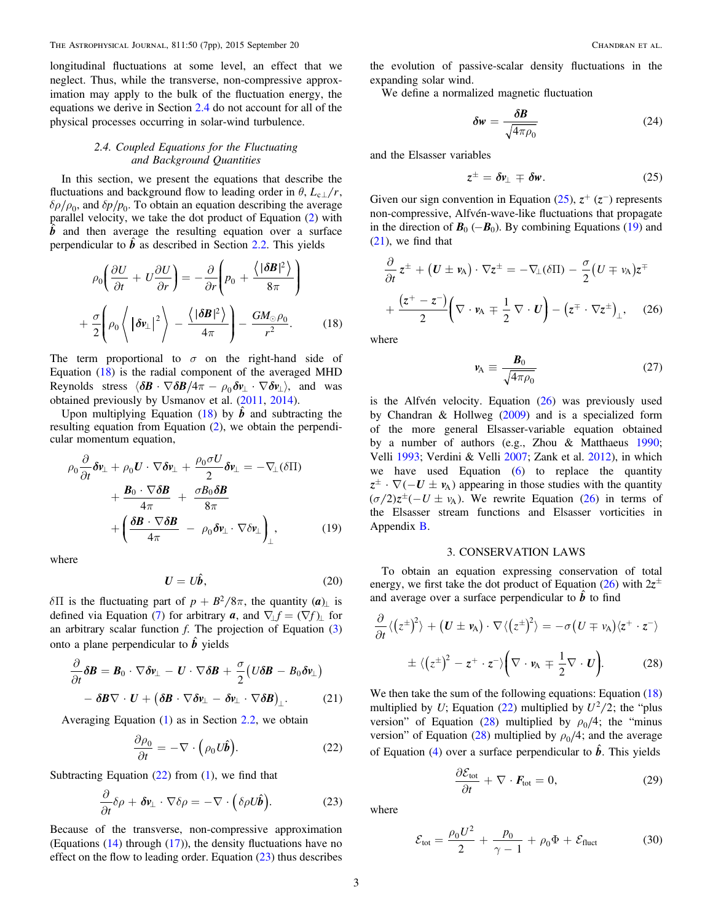<span id="page-2-0"></span>longitudinal fluctuations at some level, an effect that we neglect. Thus, while the transverse, non-compressive approximation may apply to the bulk of the fluctuation energy, the equations we derive in Section 2.4 do not account for all of the physical processes occurring in solar-wind turbulence.

# 2.4. Coupled Equations for the Fluctuating and Background Quantities

In this section, we present the equations that describe the fluctuations and background flow to leading order in  $\theta$ ,  $L_{c}$   $/r$ ,  $\delta\rho/\rho_0$ , and  $\delta p/p_0$ . To obtain an equation describing the average parallel velocity, we take the dot product of Equation ([2](#page-1-0)) with  $\hat{b}$  and then average the resulting equation over a surface perpendicular to  $\hat{b}$  as described in Section [2.2.](#page-1-0) This yields

$$
\rho_0 \left( \frac{\partial U}{\partial t} + U \frac{\partial U}{\partial r} \right) = -\frac{\partial}{\partial r} \left( p_0 + \frac{\langle |\delta \mathbf{B}|^2 \rangle}{8\pi} \right)
$$

$$
+ \frac{\sigma}{2} \left( \rho_0 \left\langle |\delta \mathbf{v}_\perp|^2 \right\rangle - \frac{\langle |\delta \mathbf{B}|^2 \rangle}{4\pi} \right) - \frac{GM_\odot \rho_0}{r^2}.
$$
(18)

 $\mathcal{L}$ 

The term proportional to  $\sigma$  on the right-hand side of Equation (18) is the radial component of the averaged MHD Reynolds stress  $\langle \delta \mathbf{B} \cdot \nabla \delta \mathbf{B} / 4\pi - \rho_0 \delta \mathbf{v}_\perp \cdot \nabla \delta \mathbf{v}_\perp \rangle$ , and was obtained previously by Usmanov et al. ([2011](#page-6-0), [2014](#page-6-0)).

Upon multiplying Equation (18) by  $\hat{b}$  and subtracting the resulting equation from Equation ([2](#page-1-0)), we obtain the perpendicular momentum equation,

$$
\rho_0 \frac{\partial}{\partial t} \delta v_{\perp} + \rho_0 U \cdot \nabla \delta v_{\perp} + \frac{\rho_0 \sigma U}{2} \delta v_{\perp} = -\nabla_{\perp} (\delta \Pi) \n+ \frac{\mathbf{B}_0 \cdot \nabla \delta \mathbf{B}}{4\pi} + \frac{\sigma \mathbf{B}_0 \delta \mathbf{B}}{8\pi} \n+ \left( \frac{\delta \mathbf{B} \cdot \nabla \delta \mathbf{B}}{4\pi} - \rho_0 \delta v_{\perp} \cdot \nabla \delta v_{\perp} \right)_{\perp},
$$
\n(19)

where

$$
U = U\hat{b},\tag{20}
$$

 $\delta \Pi$  is the fluctuating part of  $p + B^2/8\pi$ , the quantity (*a*)<sub>1</sub> is defined via Equation ([7](#page-1-0)) for arbitrary *a*, and  $\nabla_{\perp} f = (\nabla f)$  for an arbitrary scalar function  $f$ . The projection of Equation  $(3)$  $(3)$  $(3)$ onto a plane perpendicular to  $\hat{b}$  yields

$$
\frac{\partial}{\partial t}\delta \boldsymbol{B} = \boldsymbol{B}_0 \cdot \nabla \delta \boldsymbol{v}_{\perp} - \boldsymbol{U} \cdot \nabla \delta \boldsymbol{B} + \frac{\sigma}{2} \big( U \delta \boldsymbol{B} - B_0 \delta \boldsymbol{v}_{\perp} \big) \n- \delta \boldsymbol{B} \nabla \cdot \boldsymbol{U} + \big( \delta \boldsymbol{B} \cdot \nabla \delta \boldsymbol{v}_{\perp} - \delta \boldsymbol{v}_{\perp} \cdot \nabla \delta \boldsymbol{B} \big)_{\perp}.
$$
\n(21)

Averaging Equation ([1](#page-1-0)) as in Section [2.2,](#page-1-0) we obtain

$$
\frac{\partial \rho_0}{\partial t} = -\nabla \cdot \left(\rho_0 U \hat{\boldsymbol{b}}\right).
$$
 (22)

Subtracting Equation  $(22)$  from  $(1)$  $(1)$  $(1)$ , we find that

$$
\frac{\partial}{\partial t}\delta\rho + \delta \mathbf{v}_{\perp} \cdot \nabla \delta \rho = -\nabla \cdot (\delta \rho U \hat{\mathbf{b}}).
$$
 (23)

Because of the transverse, non-compressive approximation (Equations ([14](#page-1-0)) through ([17](#page-1-0))), the density fluctuations have no effect on the flow to leading order. Equation  $(23)$  thus describes

the evolution of passive-scalar density fluctuations in the expanding solar wind.

We define a normalized magnetic fluctuation

$$
\delta w = \frac{\delta B}{\sqrt{4\pi \rho_0}}\tag{24}
$$

and the Elsasser variables

$$
z^{\pm} = \delta v_{\perp} \mp \delta w. \tag{25}
$$

Given our sign convention in Equation  $(25)$ ,  $z^+(z^-)$  represents non-compressive, Alfvén-wave-like fluctuations that propagate in the direction of  $\mathbf{B}_0$  (- $\mathbf{B}_0$ ). By combining Equations (19) and (21), we find that

$$
\frac{\partial}{\partial t} z^{\pm} + (U \pm \nu_{A}) \cdot \nabla z^{\pm} = -\nabla_{\perp} (\delta \Pi) - \frac{\sigma}{2} (U \mp \nu_{A}) z^{\mp} \n+ \frac{(z^{+} - z^{-})}{2} \left( \nabla \cdot \nu_{A} \mp \frac{1}{2} \nabla \cdot U \right) - (z^{\mp} \cdot \nabla z^{\pm})_{\perp}, \quad (26)
$$

where

$$
v_{\rm A} \equiv \frac{B_0}{\sqrt{4\pi\rho_0}}\tag{27}
$$

is the Alfvén velocity. Equation (26) was previously used by Chandran & Hollweg ([2009](#page-6-0)) and is a specialized form of the more general Elsasser-variable equation obtained by a number of authors (e.g., Zhou & Matthaeus [1990](#page-6-0); Velli [1993;](#page-6-0) Verdini & Velli [2007](#page-6-0); Zank et al. [2012](#page-6-0)), in which we have used Equation  $(6)$  $(6)$  $(6)$  to replace the quantity  $z^{\pm} \cdot \nabla(-U \pm \nu_A)$  appearing in those studies with the quantity  $(\sigma/2)z^{\pm}(-U \pm \nu_A)$ . We rewrite Equation (26) in terms of the Elsasser stream functions and Elsasser vorticities in Appendix [B.](#page-6-0)

#### 3. CONSERVATION LAWS

To obtain an equation expressing conservation of total energy, we first take the dot product of Equation (26) with  $2z^{\pm}$ and average over a surface perpendicular to  $\hat{b}$  to find

$$
\frac{\partial}{\partial t} \langle (z^{\pm})^2 \rangle + (U \pm \mathbf{v}_{A}) \cdot \nabla \langle (z^{\pm})^2 \rangle = -\sigma (U \mp \mathbf{v}_{A}) \langle z^+ \cdot z^- \rangle
$$

$$
\pm \langle (z^{\pm})^2 - z^+ \cdot z^- \rangle \Big( \nabla \cdot \mathbf{v}_{A} \mp \frac{1}{2} \nabla \cdot U \Big). \tag{28}
$$

We then take the sum of the following equations: Equation (18) multiplied by U; Equation (22) multiplied by  $U^2/2$ ; the "plus version" of Equation (28) multiplied by  $\rho_0/4$ ; the "minus version" of Equation (28) multiplied by  $\rho_0/4$ ; and the average of Equation ([4](#page-1-0)) over a surface perpendicular to  $\hat{b}$ . This yields

$$
\frac{\partial \mathcal{E}_{\text{tot}}}{\partial t} + \nabla \cdot \mathbf{F}_{\text{tot}} = 0, \tag{29}
$$

where

$$
\mathcal{E}_{\text{tot}} = \frac{\rho_0 U^2}{2} + \frac{p_0}{\gamma - 1} + \rho_0 \Phi + \mathcal{E}_{\text{fluct}} \tag{30}
$$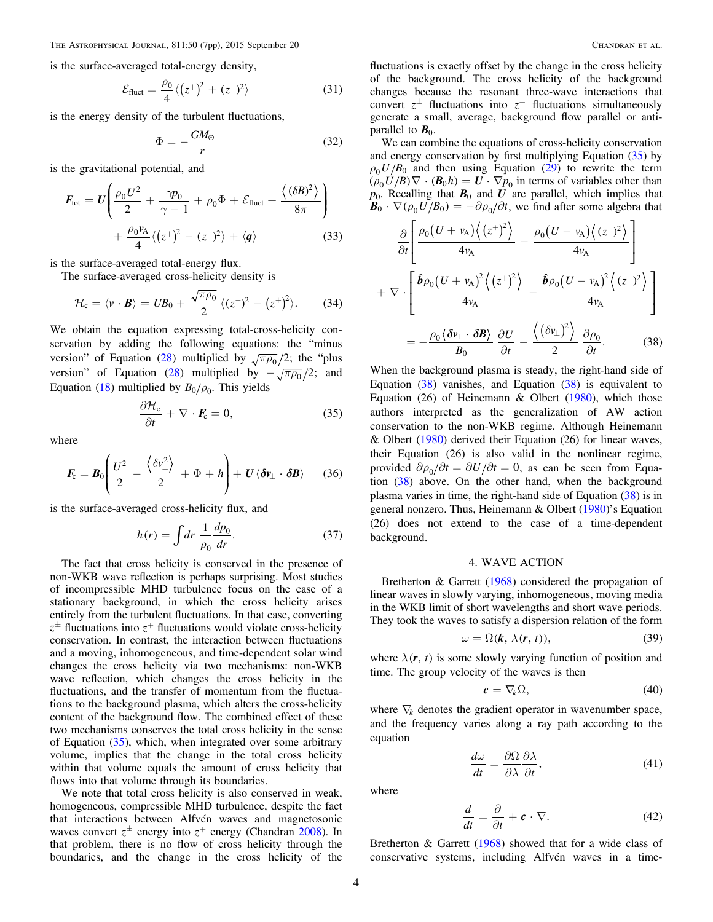<span id="page-3-0"></span>is the surface-averaged total-energy density,

$$
\mathcal{E}_{\text{fluct}} = \frac{\rho_0}{4} \langle (z^+)^2 + (z^-)^2 \rangle \tag{31}
$$

is the energy density of the turbulent fluctuations,

$$
\Phi = -\frac{GM_{\odot}}{r} \tag{32}
$$

is the gravitational potential, and

$$
F_{\text{tot}} = U \left( \frac{\rho_0 U^2}{2} + \frac{\gamma p_0}{\gamma - 1} + \rho_0 \Phi + \mathcal{E}_{\text{fluct}} + \frac{\langle (\delta B)^2 \rangle}{8\pi} \right) + \frac{\rho_0 \nu_A}{4} \langle (z^+)^2 - (z^-)^2 \rangle + \langle q \rangle \tag{33}
$$

is the surface-averaged total-energy flux.

The surface-averaged cross-helicity density is

$$
\mathcal{H}_c = \langle \mathbf{v} \cdot \mathbf{B} \rangle = UB_0 + \frac{\sqrt{\pi \rho_0}}{2} \langle (z^-)^2 - (z^+)^2 \rangle. \tag{34}
$$

We obtain the equation expressing total-cross-helicity conservation by adding the following equations: the "minus version" of Equation ([28](#page-2-0)) multiplied by  $\sqrt{\pi \rho_0}/2$ ; the "plus version" of Equation ([28](#page-2-0)) multiplied by  $-\sqrt{\pi \rho_0}/2$ ; and Equation ([18](#page-2-0)) multiplied by  $B_0/\rho_0$ . This yields

$$
\frac{\partial \mathcal{H}_c}{\partial t} + \nabla \cdot \mathbf{F}_c = 0, \tag{35}
$$

where

$$
\boldsymbol{F}_{\rm c} = \boldsymbol{B}_0 \left( \frac{U^2}{2} - \frac{\left\langle \delta v_{\perp}^2 \right\rangle}{2} + \Phi + h \right) + \boldsymbol{U} \left\langle \delta v_{\perp} \cdot \delta \boldsymbol{B} \right\rangle \tag{36}
$$

is the surface-averaged cross-helicity flux, and

$$
h(r) = \int dr \frac{1}{\rho_0} \frac{dp_0}{dr}.
$$
 (37)

The fact that cross helicity is conserved in the presence of non-WKB wave reflection is perhaps surprising. Most studies of incompressible MHD turbulence focus on the case of a stationary background, in which the cross helicity arises entirely from the turbulent fluctuations. In that case, converting  $z^{\pm}$  fluctuations into  $z^{\mp}$  fluctuations would violate cross-helicity conservation. In contrast, the interaction between fluctuations and a moving, inhomogeneous, and time-dependent solar wind changes the cross helicity via two mechanisms: non-WKB wave reflection, which changes the cross helicity in the fluctuations, and the transfer of momentum from the fluctuations to the background plasma, which alters the cross-helicity content of the background flow. The combined effect of these two mechanisms conserves the total cross helicity in the sense of Equation  $(35)$ , which, when integrated over some arbitrary volume, implies that the change in the total cross helicity within that volume equals the amount of cross helicity that flows into that volume through its boundaries.

We note that total cross helicity is also conserved in weak, homogeneous, compressible MHD turbulence, despite the fact that interactions between Alfvén waves and magnetosonic waves convert  $z^{\pm}$  energy into  $z^{\mp}$  energy (Chandran [2008](#page-6-0)). In that problem, there is no flow of cross helicity through the boundaries, and the change in the cross helicity of the

fluctuations is exactly offset by the change in the cross helicity of the background. The cross helicity of the background changes because the resonant three-wave interactions that convert  $z^{\pm}$  fluctuations into  $z^{\mp}$  fluctuations simultaneously generate a small, average, background flow parallel or antiparallel to  $B_0$ .

We can combine the equations of cross-helicity conservation and energy conservation by first multiplying Equation (35) by  $\rho_0 U/B_0$  and then using Equation ([29](#page-2-0)) to rewrite the term  $(\rho_0 U/B) \nabla \cdot (\mathbf{B}_0 h) = \mathbf{U} \cdot \nabla p_0$  in terms of variables other than  $p_0$ . Recalling that  $B_0$  and  $\overline{U}$  are parallel, which implies that  $\mathbf{B}_0 \cdot \nabla (\rho_0 U/B_0) = -\partial \rho_0 / \partial t$ , we find after some algebra that

$$
\frac{\partial}{\partial t} \left[ \frac{\rho_0 (U + v_A) \langle (z^+)^2 \rangle}{4v_A} - \frac{\rho_0 (U - v_A) \langle (z^-)^2 \rangle}{4v_A} \right]
$$

$$
+ \nabla \cdot \left[ \frac{\hat{b}\rho_0 (U + v_A)^2 \langle (z^+)^2 \rangle}{4v_A} - \frac{\hat{b}\rho_0 (U - v_A)^2 \langle (z^-)^2 \rangle}{4v_A} \right]
$$

$$
= -\frac{\rho_0 \langle \delta v_\perp \cdot \delta B \rangle}{B_0} \frac{\partial U}{\partial t} - \frac{\langle (\delta v_\perp)^2 \rangle}{2} \frac{\partial \rho_0}{\partial t}.
$$
(38)

When the background plasma is steady, the right-hand side of Equation  $(38)$  vanishes, and Equation  $(38)$  is equivalent to Equation  $(26)$  of Heinemann & Olbert  $(1980)$  $(1980)$  $(1980)$ , which those authors interpreted as the generalization of AW action conservation to the non-WKB regime. Although Heinemann & Olbert ([1980](#page-6-0)) derived their Equation (26) for linear waves, their Equation (26) is also valid in the nonlinear regime, provided  $\partial \rho_0 / \partial t = \partial U / \partial t = 0$ , as can be seen from Equation  $(38)$  above. On the other hand, when the background plasma varies in time, the right-hand side of Equation (38) is in general nonzero. Thus, Heinemann & Olbert ([1980](#page-6-0))'s Equation (26) does not extend to the case of a time-dependent background.

# 4. WAVE ACTION

Bretherton & Garrett ([1968](#page-6-0)) considered the propagation of linear waves in slowly varying, inhomogeneous, moving media in the WKB limit of short wavelengths and short wave periods. They took the waves to satisfy a dispersion relation of the form

$$
\omega = \Omega(k, \lambda(r, t)), \tag{39}
$$

where  $\lambda(r, t)$  is some slowly varying function of position and time. The group velocity of the waves is then

$$
\mathbf{c} = \nabla_k \Omega, \tag{40}
$$

where  $\nabla_k$  denotes the gradient operator in wavenumber space, and the frequency varies along a ray path according to the equation

$$
\frac{d\omega}{dt} = \frac{\partial \Omega}{\partial \lambda} \frac{\partial \lambda}{\partial t},\tag{41}
$$

where

$$
\frac{d}{dt} = \frac{\partial}{\partial t} + \mathbf{c} \cdot \nabla.
$$
 (42)

Bretherton & Garrett ([1968](#page-6-0)) showed that for a wide class of conservative systems, including Alfvén waves in a time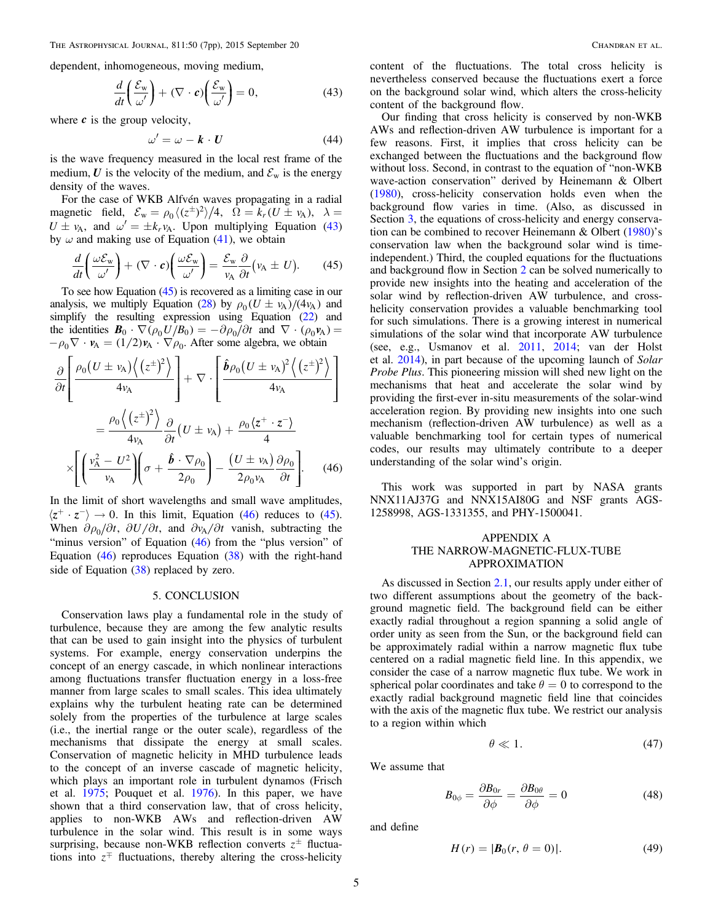<span id="page-4-0"></span>dependent, inhomogeneous, moving medium,

$$
\frac{d}{dt}\left(\frac{\mathcal{E}_{\mathbf{w}}}{\omega'}\right) + (\nabla \cdot \mathbf{c})\left(\frac{\mathcal{E}_{\mathbf{w}}}{\omega'}\right) = 0,\tag{43}
$$

where  $c$  is the group velocity,

$$
\omega' = \omega - \mathbf{k} \cdot \mathbf{U} \tag{44}
$$

is the wave frequency measured in the local rest frame of the medium,  $U$  is the velocity of the medium, and  $\mathcal{E}_{w}$  is the energy density of the waves.

For the case of WKB Alfvén waves propagating in a radial magnetic field,  $\mathcal{E}_w = \rho_0 \langle (z^{\pm})^2 \rangle / 4$ ,  $\Omega = k_r (U \pm v_A)$ ,  $\lambda =$  $U \pm \nu_A$ , and  $\omega' = \pm k_r \nu_A$ . Upon multiplying Equation (43) by  $\omega$  and making use of Equation ([41](#page-3-0)), we obtain

$$
\frac{d}{dt}\left(\frac{\omega \mathcal{E}_{w}}{\omega'}\right) + (\nabla \cdot \mathbf{c})\left(\frac{\omega \mathcal{E}_{w}}{\omega'}\right) = \frac{\mathcal{E}_{w}}{v_{A}}\frac{\partial}{\partial t}\left(v_{A} \pm U\right). \tag{45}
$$

To see how Equation (45) is recovered as a limiting case in our analysis, we multiply Equation ([28](#page-2-0)) by  $\rho_0 (U \pm v_A)/(4v_A)$  and simplify the resulting expression using Equation ([22](#page-2-0)) and the identities  $\mathbf{B}_0 \cdot \nabla (\rho_0 U/B_0) = -\partial \rho_0 / \partial t$  and  $\nabla \cdot (\rho_0 \mathbf{v}_A) =$  $-\rho_0 \nabla \cdot \mathbf{v}_A = (1/2) \mathbf{v}_A \cdot \nabla \rho_0$ . After some algebra, we obtain

$$
\frac{\partial}{\partial t} \left[ \frac{\rho_0 (U \pm v_A) \langle (z^{\pm})^2 \rangle}{4v_A} \right] + \nabla \cdot \left[ \frac{\hat{\mathbf{b}} \rho_0 (U \pm v_A)^2 \langle (z^{\pm})^2 \rangle}{4v_A} \right]
$$
\n
$$
= \frac{\rho_0 \langle (z^{\pm})^2 \rangle}{4v_A} \frac{\partial}{\partial t} (U \pm v_A) + \frac{\rho_0 \langle z^+ \cdot z^- \rangle}{4}
$$
\n
$$
\times \left[ \left( \frac{v_A^2 - U^2}{v_A} \right) \left( \sigma + \frac{\hat{\mathbf{b}} \cdot \nabla \rho_0}{2\rho_0} \right) - \frac{(U \pm v_A)}{2\rho_0 v_A} \frac{\partial \rho_0}{\partial t} \right]. \quad (46)
$$

In the limit of short wavelengths and small wave amplitudes,  $\langle z^+ \cdot z^- \rangle \rightarrow 0$ . In this limit, Equation (46) reduces to (45). When  $\partial \rho_0 / \partial t$ ,  $\partial U / \partial t$ , and  $\partial v_A / \partial t$  vanish, subtracting the "minus version" of Equation (46) from the "plus version" of Equation  $(46)$  reproduces Equation  $(38)$  $(38)$  $(38)$  with the right-hand side of Equation  $(38)$  $(38)$  $(38)$  replaced by zero.

#### 5. CONCLUSION

Conservation laws play a fundamental role in the study of turbulence, because they are among the few analytic results that can be used to gain insight into the physics of turbulent systems. For example, energy conservation underpins the concept of an energy cascade, in which nonlinear interactions among fluctuations transfer fluctuation energy in a loss-free manner from large scales to small scales. This idea ultimately explains why the turbulent heating rate can be determined solely from the properties of the turbulence at large scales (i.e., the inertial range or the outer scale), regardless of the mechanisms that dissipate the energy at small scales. Conservation of magnetic helicity in MHD turbulence leads to the concept of an inverse cascade of magnetic helicity, which plays an important role in turbulent dynamos (Frisch et al. [1975](#page-6-0); Pouquet et al. [1976](#page-6-0)). In this paper, we have shown that a third conservation law, that of cross helicity, applies to non-WKB AWs and reflection-driven AW turbulence in the solar wind. This result is in some ways surprising, because non-WKB reflection converts  $z^{\pm}$  fluctuations into  $z^{\pm}$  fluctuations, thereby altering the cross-helicity

content of the fluctuations. The total cross helicity is nevertheless conserved because the fluctuations exert a force on the background solar wind, which alters the cross-helicity content of the background flow.

Our finding that cross helicity is conserved by non-WKB AWs and reflection-driven AW turbulence is important for a few reasons. First, it implies that cross helicity can be exchanged between the fluctuations and the background flow without loss. Second, in contrast to the equation of "non-WKB wave-action conservation" derived by Heinemann & Olbert ([1980](#page-6-0)), cross-helicity conservation holds even when the background flow varies in time. (Also, as discussed in Section [3](#page-2-0), the equations of cross-helicity and energy conservation can be combined to recover Heinemann & Olbert ([1980](#page-6-0))'s conservation law when the background solar wind is timeindependent.) Third, the coupled equations for the fluctuations and background flow in Section [2](#page-1-0) can be solved numerically to provide new insights into the heating and acceleration of the solar wind by reflection-driven AW turbulence, and crosshelicity conservation provides a valuable benchmarking tool for such simulations. There is a growing interest in numerical simulations of the solar wind that incorporate AW turbulence (see, e.g., Usmanov et al. [2011](#page-6-0), [2014](#page-6-0); van der Holst et al. [2014](#page-6-0)), in part because of the upcoming launch of Solar Probe Plus. This pioneering mission will shed new light on the mechanisms that heat and accelerate the solar wind by providing the first-ever in-situ measurements of the solar-wind acceleration region. By providing new insights into one such mechanism (reflection-driven AW turbulence) as well as a valuable benchmarking tool for certain types of numerical codes, our results may ultimately contribute to a deeper understanding of the solar wind's origin.

This work was supported in part by NASA grants NNX11AJ37G and NNX15AI80G and NSF grants AGS-1258998, AGS-1331355, and PHY-1500041.

# APPENDIX A THE NARROW-MAGNETIC-FLUX-TUBE APPROXIMATION

As discussed in Section [2.1,](#page-1-0) our results apply under either of two different assumptions about the geometry of the background magnetic field. The background field can be either exactly radial throughout a region spanning a solid angle of order unity as seen from the Sun, or the background field can be approximately radial within a narrow magnetic flux tube centered on a radial magnetic field line. In this appendix, we consider the case of a narrow magnetic flux tube. We work in spherical polar coordinates and take  $\theta = 0$  to correspond to the exactly radial background magnetic field line that coincides with the axis of the magnetic flux tube. We restrict our analysis to a region within which

$$
\theta \ll 1. \tag{47}
$$

We assume that

$$
B_{0\phi} = \frac{\partial B_{0r}}{\partial \phi} = \frac{\partial B_{0\theta}}{\partial \phi} = 0
$$
 (48)

and define

$$
H(r) = |\bm{B}_0(r, \theta = 0)|. \tag{49}
$$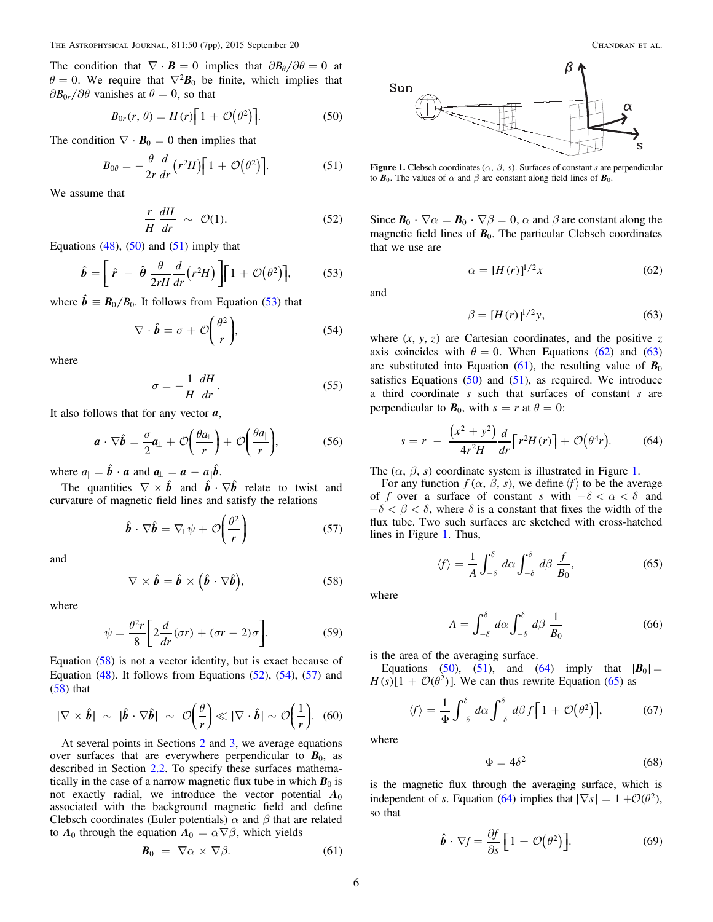<span id="page-5-0"></span>The condition that  $\nabla \cdot \mathbf{B} = 0$  implies that  $\partial B_{\theta}/\partial \theta = 0$  at  $\theta = 0$ . We require that  $\nabla^2 \mathbf{B}_0$  be finite, which implies that  $\partial B_{0r}/\partial \theta$  vanishes at  $\theta = 0$ , so that

$$
B_{0r}(r,\theta) = H(r)\left[1 + \mathcal{O}(\theta^2)\right].
$$
 (50)

The condition  $\nabla \cdot \mathbf{B}_0 = 0$  then implies that

$$
B_{0\theta} = -\frac{\theta}{2r}\frac{d}{dr}\left(r^2H\right)\left[1+\mathcal{O}\left(\theta^2\right)\right].\tag{51}
$$

We assume that

$$
\frac{r}{H}\frac{dH}{dr} \sim \mathcal{O}(1). \tag{52}
$$

Equations  $(48)$  $(48)$  $(48)$ ,  $(50)$  and  $(51)$  imply that

$$
\hat{\boldsymbol{b}} = \left[ \hat{r} - \hat{\boldsymbol{\theta}} \frac{\theta}{2rH} \frac{d}{dr} (r^2 H) \right] \left[ 1 + \mathcal{O}(\theta^2) \right], \tag{53}
$$

where  $\hat{b} \equiv B_0/B_0$ . It follows from Equation (53) that

$$
\nabla \cdot \hat{\boldsymbol{b}} = \sigma + \mathcal{O}\left(\frac{\theta^2}{r}\right),\tag{54}
$$

where

$$
\sigma = -\frac{1}{H} \frac{dH}{dr}.
$$
\n(55)

It also follows that for any vector *a*,

$$
\boldsymbol{a} \cdot \nabla \hat{\boldsymbol{b}} = \frac{\sigma}{2} \boldsymbol{a}_{\perp} + \mathcal{O}\bigg(\frac{\theta a_{\perp}}{r}\bigg) + \mathcal{O}\bigg(\frac{\theta a_{\parallel}}{r}\bigg), \qquad (56)
$$

where  $a_{\parallel} = \hat{b} \cdot a$  and  $a_{\perp} = a - a_{\parallel} \hat{b}$ .

The quantities  $\nabla \times \hat{b}$  and  $\hat{b} \cdot \nabla \hat{b}$  relate to twist and curvature of magnetic field lines and satisfy the relations

$$
\hat{\boldsymbol{b}} \cdot \nabla \hat{\boldsymbol{b}} = \nabla_{\!\perp} \psi + \mathcal{O}\!\left(\frac{\theta^2}{r}\right) \tag{57}
$$

and

$$
\nabla \times \hat{\boldsymbol{b}} = \hat{\boldsymbol{b}} \times (\hat{\boldsymbol{b}} \cdot \nabla \hat{\boldsymbol{b}}), \tag{58}
$$

where

$$
\psi = \frac{\theta^2 r}{8} \bigg[ 2 \frac{d}{dr} (\sigma r) + (\sigma r - 2) \sigma \bigg]. \tag{59}
$$

Equation (58) is not a vector identity, but is exact because of Equation  $(48)$  $(48)$  $(48)$ . It follows from Equations  $(52)$ ,  $(54)$ ,  $(57)$  and (58) that

$$
|\nabla \times \hat{\boldsymbol{b}}| \sim |\hat{\boldsymbol{b}} \cdot \nabla \hat{\boldsymbol{b}}| \sim \mathcal{O}\left(\frac{\theta}{r}\right) \ll |\nabla \cdot \hat{\boldsymbol{b}}| \sim \mathcal{O}\left(\frac{1}{r}\right).
$$
 (60)

At several points in Sections [2](#page-1-0) and [3](#page-2-0), we average equations over surfaces that are everywhere perpendicular to  $B_0$ , as described in Section [2.2.](#page-1-0) To specify these surfaces mathematically in the case of a narrow magnetic flux tube in which  $B_0$  is not exactly radial, we introduce the vector potential  $A_0$ associated with the background magnetic field and define Clebsch coordinates (Euler potentials)  $\alpha$  and  $\beta$  that are related to  $A_0$  through the equation  $A_0 = \alpha \nabla \beta$ , which yields

$$
\boldsymbol{B}_0 = \nabla \alpha \times \nabla \beta. \tag{61}
$$



Figure 1. Clebsch coordinates ( $\alpha$ ,  $\beta$ , s). Surfaces of constant s are perpendicular to  $\mathbf{B}_0$ . The values of  $\alpha$  and  $\beta$  are constant along field lines of  $\mathbf{B}_0$ .

Since  $\mathbf{B}_0 \cdot \nabla \alpha = \mathbf{B}_0 \cdot \nabla \beta = 0$ ,  $\alpha$  and  $\beta$  are constant along the magnetic field lines of  $B_0$ . The particular Clebsch coordinates that we use are

$$
\alpha = [H(r)]^{1/2}x\tag{62}
$$

and

$$
\beta = [H(r)]^{1/2} y,\t(63)
$$

where  $(x, y, z)$  are Cartesian coordinates, and the positive z axis coincides with  $\theta = 0$ . When Equations (62) and (63) are substituted into Equation (61), the resulting value of  $B_0$ satisfies Equations  $(50)$  and  $(51)$ , as required. We introduce a third coordinate s such that surfaces of constant s are perpendicular to  $B_0$ , with  $s = r$  at  $\theta = 0$ :

$$
s = r - \frac{\left(x^2 + y^2\right)}{4r^2H} \frac{d}{dr} \left[r^2H(r)\right] + \mathcal{O}\left(\theta^4r\right). \tag{64}
$$

The  $(\alpha, \beta, s)$  coordinate system is illustrated in Figure 1.

For any function  $f(\alpha, \beta, s)$ , we define  $\langle f \rangle$  to be the average of f over a surface of constant s with  $-\delta < \alpha < \delta$  and  $-\delta < \beta < \delta$ , where  $\delta$  is a constant that fixes the width of the flux tube. Two such surfaces are sketched with cross-hatched lines in Figure 1. Thus,

$$
\langle f \rangle = \frac{1}{A} \int_{-\delta}^{\delta} d\alpha \int_{-\delta}^{\delta} d\beta \, \frac{f}{B_0},\tag{65}
$$

where

$$
A = \int_{-\delta}^{\delta} d\alpha \int_{-\delta}^{\delta} d\beta \, \frac{1}{B_0} \tag{66}
$$

is the area of the averaging surface.

Equations (50), (51), and (64) imply that  $|\mathbf{B}_0| =$  $H(s)[1 + \mathcal{O}(\theta^2)]$ . We can thus rewrite Equation (65) as

$$
\langle f \rangle = \frac{1}{\Phi} \int_{-\delta}^{\delta} d\alpha \int_{-\delta}^{\delta} d\beta f \Big[ 1 + \mathcal{O}(\theta^2) \Big],\tag{67}
$$

where

$$
\Phi = 4\delta^2 \tag{68}
$$

is the magnetic flux through the averaging surface, which is independent of *s*. Equation (64) implies that  $|\nabla s| = 1 + \mathcal{O}(\theta^2)$ , so that

$$
\hat{\boldsymbol{b}} \cdot \nabla f = \frac{\partial f}{\partial s} \left[ 1 + \mathcal{O}(\theta^2) \right]. \tag{69}
$$